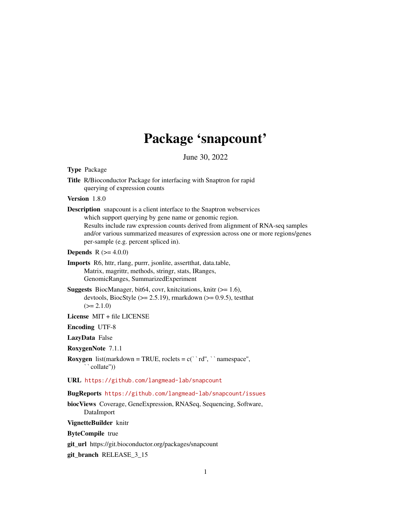# Package 'snapcount'

June 30, 2022

| <b>Type Package</b>                                                                                                                                                                                                                                                                                                                                       |
|-----------------------------------------------------------------------------------------------------------------------------------------------------------------------------------------------------------------------------------------------------------------------------------------------------------------------------------------------------------|
| Title R/Bioconductor Package for interfacing with Snaptron for rapid<br>querying of expression counts                                                                                                                                                                                                                                                     |
| Version 1.8.0                                                                                                                                                                                                                                                                                                                                             |
| <b>Description</b> snapcount is a client interface to the Snaptron webservices<br>which support querying by gene name or genomic region.<br>Results include raw expression counts derived from alignment of RNA-seq samples<br>and/or various summarized measures of expression across one or more regions/genes<br>per-sample (e.g. percent spliced in). |
| <b>Depends</b> $R (= 4.0.0)$                                                                                                                                                                                                                                                                                                                              |
| Imports R6, httr, rlang, purrr, jsonlite, assertthat, data.table,<br>Matrix, magrittr, methods, stringr, stats, IRanges,<br>GenomicRanges, SummarizedExperiment                                                                                                                                                                                           |
| <b>Suggests</b> BiocManager, bit64, covr, knitications, knitr $(>= 1.6)$ ,<br>devtools, BiocStyle ( $>= 2.5.19$ ), rmarkdown ( $>= 0.9.5$ ), test that<br>$(>= 2.1.0)$                                                                                                                                                                                    |
| License $MIT + file LICENSE$                                                                                                                                                                                                                                                                                                                              |
| <b>Encoding UTF-8</b>                                                                                                                                                                                                                                                                                                                                     |
| LazyData False                                                                                                                                                                                                                                                                                                                                            |
| RoxygenNote 7.1.1                                                                                                                                                                                                                                                                                                                                         |
| <b>Roxygen</b> list(markdown = TRUE, roclets = $c('r d'', ' ' name space'', )$<br>``collate"))                                                                                                                                                                                                                                                            |
| URL https://github.com/langmead-lab/snapcount                                                                                                                                                                                                                                                                                                             |
| BugReports https://github.com/langmead-lab/snapcount/issues                                                                                                                                                                                                                                                                                               |
| biocViews Coverage, GeneExpression, RNASeq, Sequencing, Software,<br>DataImport                                                                                                                                                                                                                                                                           |
| VignetteBuilder knitr                                                                                                                                                                                                                                                                                                                                     |
| <b>ByteCompile</b> true                                                                                                                                                                                                                                                                                                                                   |
| git_url https://git.bioconductor.org/packages/snapcount                                                                                                                                                                                                                                                                                                   |

git\_branch RELEASE\_3\_15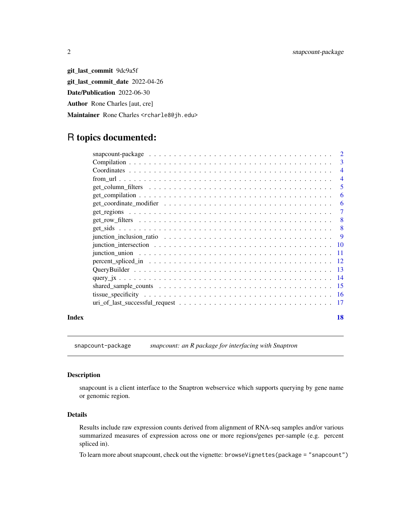git\_last\_commit 9dc9a5f git\_last\_commit\_date 2022-04-26 Date/Publication 2022-06-30 Author Rone Charles [aut, cre] Maintainer Rone Charles <rcharle8@jh.edu>

# R topics documented:

| 3                                                                                                                    |
|----------------------------------------------------------------------------------------------------------------------|
| 4                                                                                                                    |
| 4                                                                                                                    |
| 5                                                                                                                    |
| 6                                                                                                                    |
| 6                                                                                                                    |
| 7                                                                                                                    |
| 8                                                                                                                    |
| 8                                                                                                                    |
| junction inclusion ratio $\ldots \ldots \ldots \ldots \ldots \ldots \ldots \ldots \ldots \ldots \ldots$<br>9         |
|                                                                                                                      |
| - 11                                                                                                                 |
| - 12                                                                                                                 |
| -13                                                                                                                  |
| -14                                                                                                                  |
| -15                                                                                                                  |
| -16                                                                                                                  |
| $uri_of_last_successful_request \dots \dots \dots \dots \dots \dots \dots \dots \dots \dots \dots \dots \dots$<br>17 |
|                                                                                                                      |

#### **Index** 2008 **[18](#page-17-0)**

snapcount-package *snapcount: an R package for interfacing with Snaptron*

# Description

snapcount is a client interface to the Snaptron webservice which supports querying by gene name or genomic region.

# Details

Results include raw expression counts derived from alignment of RNA-seq samples and/or various summarized measures of expression across one or more regions/genes per-sample (e.g. percent spliced in).

To learn more about snapcount, check out the vignette: browseVignettes(package = "snapcount")

<span id="page-1-0"></span>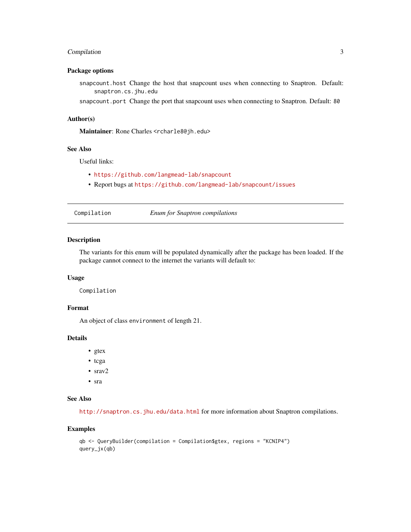# <span id="page-2-0"></span>Compilation 3

# Package options

snapcount.host Change the host that snapcount uses when connecting to Snaptron. Default: snaptron.cs.jhu.edu

snapcount.port Change the port that snapcount uses when connecting to Snaptron. Default: 80

#### Author(s)

Maintainer: Rone Charles <rcharle8@jh.edu>

#### See Also

Useful links:

- <https://github.com/langmead-lab/snapcount>
- Report bugs at <https://github.com/langmead-lab/snapcount/issues>

| Compilation | <b>Enum for Snaptron compilations</b> |  |
|-------------|---------------------------------------|--|
|             |                                       |  |

# Description

The variants for this enum will be populated dynamically after the package has been loaded. If the package cannot connect to the internet the variants will default to:

#### Usage

Compilation

#### Format

An object of class environment of length 21.

#### Details

- gtex
- tcga
- srav2
- sra

# See Also

<http://snaptron.cs.jhu.edu/data.html> for more information about Snaptron compilations.

```
qb <- QueryBuilder(compilation = Compilation$gtex, regions = "KCNIP4")
query_jx(qb)
```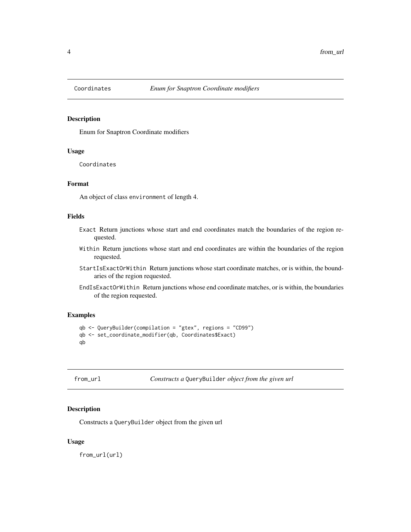<span id="page-3-1"></span><span id="page-3-0"></span>

# Description

Enum for Snaptron Coordinate modifiers

# Usage

Coordinates

#### Format

An object of class environment of length 4.

#### Fields

- Exact Return junctions whose start and end coordinates match the boundaries of the region requested.
- Within Return junctions whose start and end coordinates are within the boundaries of the region requested.
- StartIsExactOrWithin Return junctions whose start coordinate matches, or is within, the boundaries of the region requested.
- EndIsExactOrWithin Return junctions whose end coordinate matches, or is within, the boundaries of the region requested.

# Examples

```
qb <- QueryBuilder(compilation = "gtex", regions = "CD99")
qb <- set_coordinate_modifier(qb, Coordinates$Exact)
qb
```

| from url |  |
|----------|--|
|----------|--|

*Constructs a* QueryBuilder *object from the given url* 

# Description

Constructs a QueryBuilder object from the given url

#### Usage

from\_url(url)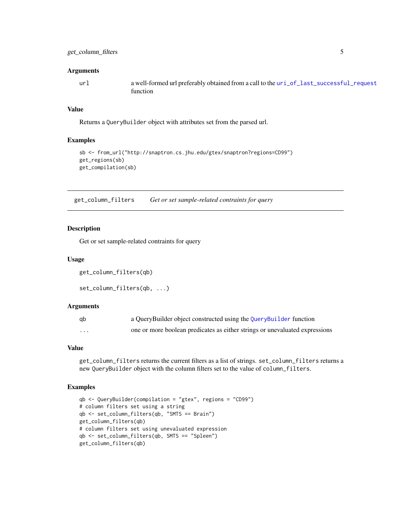#### <span id="page-4-0"></span>**Arguments**

url a well-formed url preferably obtained from a call to the [uri\\_of\\_last\\_successful\\_request](#page-16-1) function

#### Value

Returns a QueryBuilder object with attributes set from the parsed url.

# Examples

```
sb <- from_url("http://snaptron.cs.jhu.edu/gtex/snaptron?regions=CD99")
get_regions(sb)
get_compilation(sb)
```
get\_column\_filters *Get or set sample-related contraints for query*

# Description

Get or set sample-related contraints for query

# Usage

```
get_column_filters(qb)
```
set\_column\_filters(qb, ...)

### Arguments

| ab | a QueryBuilder object constructed using the QueryBuilder function           |
|----|-----------------------------------------------------------------------------|
| .  | one or more boolean predicates as either strings or unevaluated expressions |

# Value

get\_column\_filters returns the current filters as a list of strings. set\_column\_filters returns a new QueryBuilder object with the column filters set to the value of column\_filters.

```
qb <- QueryBuilder(compilation = "gtex", regions = "CD99")
# column filters set using a string
qb <- set_column_filters(qb, "SMTS == Brain")
get_column_filters(qb)
# column filters set using unevaluated expression
qb <- set_column_filters(qb, SMTS == "Spleen")
get_column_filters(qb)
```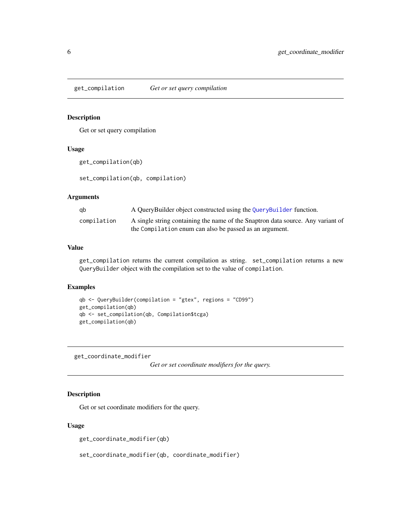<span id="page-5-0"></span>get\_compilation *Get or set query compilation*

# Description

Get or set query compilation

# Usage

```
get_compilation(qb)
```
set\_compilation(qb, compilation)

# Arguments

| ab          | A QueryBuilder object constructed using the QueryBuilder function.              |
|-------------|---------------------------------------------------------------------------------|
| compilation | A single string containing the name of the Snaptron data source. Any variant of |
|             | the Compilation enum can also be passed as an argument.                         |

# Value

get\_compilation returns the current compilation as string. set\_compilation returns a new QueryBuilder object with the compilation set to the value of compilation.

#### Examples

```
qb <- QueryBuilder(compilation = "gtex", regions = "CD99")
get_compilation(qb)
qb <- set_compilation(qb, Compilation$tcga)
get_compilation(qb)
```
get\_coordinate\_modifier

*Get or set coordinate modifiers for the query.*

# Description

Get or set coordinate modifiers for the query.

# Usage

get\_coordinate\_modifier(qb)

set\_coordinate\_modifier(qb, coordinate\_modifier)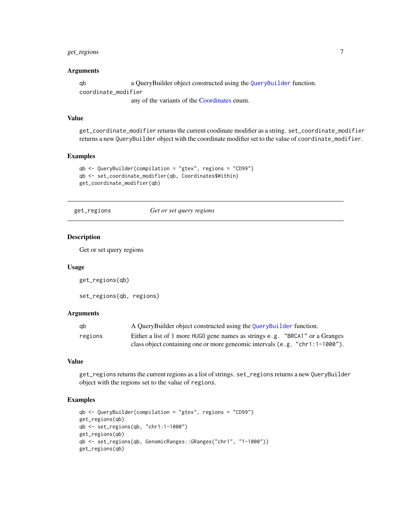# <span id="page-6-0"></span>get\_regions 7

#### Arguments

qb a QueryBuilder object constructed using the [QueryBuilder](#page-12-1) function. coordinate\_modifier

any of the variants of the [Coordinates](#page-3-1) enum.

# Value

get\_coordinate\_modifier returns the current coodinate modifier as a string. set\_coordinate\_modifier returns a new QueryBuilder object with the coordinate modifier set to the value of coordinate\_modifier.

#### Examples

```
qb <- QueryBuilder(compilation = "gtex", regions = "CD99")
qb <- set_coordinate_modifier(qb, Coordinates$Within)
get_coordinate_modifier(qb)
```
get\_regions *Get or set query regions*

# Description

Get or set query regions

#### Usage

get\_regions(qb)

set\_regions(qb, regions)

#### Arguments

| ab      | A QueryBuilder object constructed using the QueryBuilder function.             |  |
|---------|--------------------------------------------------------------------------------|--|
| regions | Either a list of 1 more HUGO gene names as strings e.g. "BRCA1" or a Granges   |  |
|         | class object containing one or more geneomic intervals $(e.g. "chr1:1-1000").$ |  |

# Value

get\_regions returns the current regions as a list of strings. set\_regions returns a new QueryBuilder object with the regions set to the value of regions.

```
qb <- QueryBuilder(compilation = "gtex", regions = "CD99")
get_regions(qb)
qb <- set_regions(qb, "chr1:1-1000")
get_regions(qb)
qb <- set_regions(qb, GenomicRanges::GRanges("chr1", "1-1000"))
get_regions(qb)
```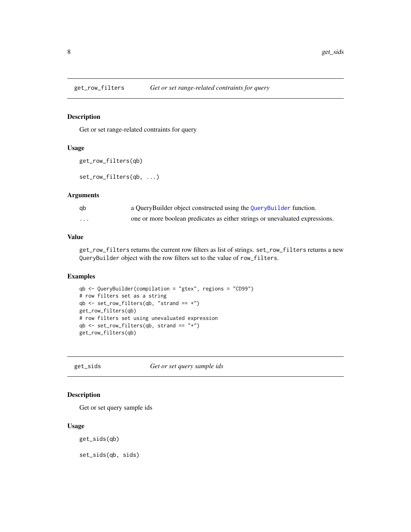<span id="page-7-0"></span>

#### Description

Get or set range-related contraints for query

# Usage

```
get_row_filters(qb)
```
set\_row\_filters(qb, ...)

# Arguments

| qb                      | a QueryBuilder object constructed using the QueryBuilder function.           |
|-------------------------|------------------------------------------------------------------------------|
| $\cdot$ $\cdot$ $\cdot$ | one or more boolean predicates as either strings or unevaluated expressions. |

# Value

get\_row\_filters returns the current row filters as list of strings. set\_row\_filters returns a new QueryBuilder object with the row filters set to the value of row\_filters.

# Examples

```
qb <- QueryBuilder(compilation = "gtex", regions = "CD99")
# row filters set as a string
qb \leq set_{row\_filters(qb, "strand == +")}get_row_filters(qb)
# row filters set using unevaluated expression
qb <- set_row_filters(qb, strand == "+")
get_row_filters(qb)
```
get\_sids *Get or set query sample ids*

# Description

Get or set query sample ids

#### Usage

get\_sids(qb)

set\_sids(qb, sids)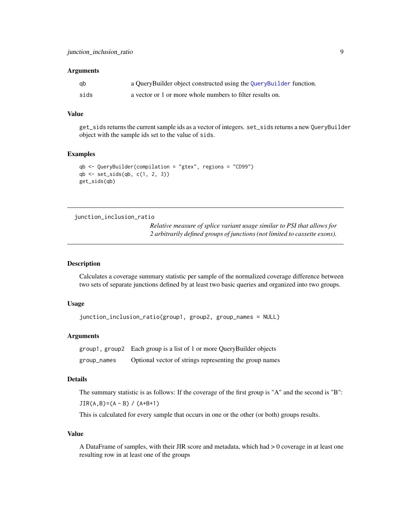#### <span id="page-8-0"></span>**Arguments**

| gb   | a QueryBuilder object constructed using the QueryBuilder function. |
|------|--------------------------------------------------------------------|
| sids | a vector or 1 or more whole numbers to filter results on.          |

#### Value

get\_sids returns the current sample ids as a vector of integers. set\_sids returns a new QueryBuilder object with the sample ids set to the value of sids.

#### Examples

```
qb <- QueryBuilder(compilation = "gtex", regions = "CD99")
qb <- set_sids(qb, c(1, 2, 3))
get_sids(qb)
```
junction\_inclusion\_ratio

*Relative measure of splice variant usage similar to PSI that allows for 2 arbitrarily defined groups of junctions (not limited to cassette exons).*

#### Description

Calculates a coverage summary statistic per sample of the normalized coverage difference between two sets of separate junctions defined by at least two basic queries and organized into two groups.

# Usage

```
junction_inclusion_ratio(group1, group2, group_names = NULL)
```
#### Arguments

group1, group2 Each group is a list of 1 or more QueryBuilder objects group\_names Optional vector of strings representing the group names

#### Details

The summary statistic is as follows: If the coverage of the first group is "A" and the second is "B":

 $JIR(A,B)=(A - B) / (A+B+1)$ 

This is calculated for every sample that occurs in one or the other (or both) groups results.

#### Value

A DataFrame of samples, with their JIR score and metadata, which had > 0 coverage in at least one resulting row in at least one of the groups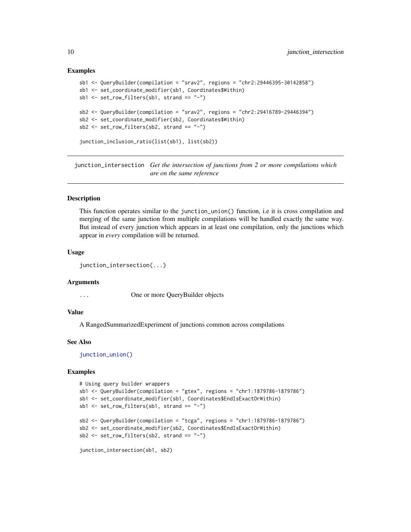```
sb1 <- QueryBuilder(compilation = "srav2", regions = "chr2:29446395-30142858")
sb1 <- set_coordinate_modifier(sb1, Coordinates$Within)
sb1 \leftarrow set_{row_{i}} = filters(sb1, strand == "--")sb2 <- QueryBuilder(compilation = "srav2", regions = "chr2:29416789-29446394")
sb2 <- set_coordinate_modifier(sb2, Coordinates$Within)
sb2 <- set_row_filters(sb2, strand == "-")
junction_inclusion_ratio(list(sb1), list(sb2))
```
<span id="page-9-1"></span>junction\_intersection *Get the intersection of junctions from 2 or more compilations which are on the same reference*

#### Description

This function operates similar to the junction\_union() function, i.e it is cross compilation and merging of the same junction from multiple compilations will be handled exactly the same way. But instead of every junction which appears in at least one compilation, only the junctions which appear in *every* compilation will be returned.

#### Usage

junction\_intersection(...)

#### Arguments

... One or more QueryBuilder objects

#### Value

A RangedSummarizedExperiment of junctions common across compilations

#### See Also

[junction\\_union\(\)](#page-10-1)

```
# Using query builder wrappers
sb1 <- QueryBuilder(compilation = "gtex", regions = "chr1:1879786-1879786")
sb1 <- set_coordinate_modifier(sb1, Coordinates$EndIsExactOrWithin)
sb1 <- set_row_filters(sb1, strand == "-")
sb2 <- QueryBuilder(compilation = "tcga", regions = "chr1:1879786-1879786")
sb2 <- set_coordinate_modifier(sb2, Coordinates$EndIsExactOrWithin)
sb2 <- set_row_filters(sb2, strand == "-")
junction_intersection(sb1, sb2)
```
<span id="page-9-0"></span>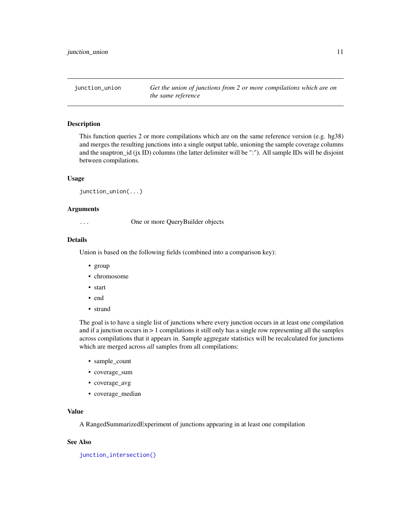<span id="page-10-1"></span><span id="page-10-0"></span>junction\_union *Get the union of junctions from 2 or more compilations which are on the same reference*

#### Description

This function queries 2 or more compilations which are on the same reference version (e.g. hg38) and merges the resulting junctions into a single output table, unioning the sample coverage columns and the snaptron\_id (jx ID) columns (the latter delimiter will be ":"). All sample IDs will be disjoint between compilations.

#### Usage

```
junction_union(...)
```
#### Arguments

... One or more QueryBuilder objects

#### Details

Union is based on the following fields (combined into a comparison key):

- group
- chromosome
- start
- end
- strand

The goal is to have a single list of junctions where every junction occurs in at least one compilation and if a junction occurs in > 1 compilations it still only has a single row representing all the samples across compilations that it appears in. Sample aggregate statistics will be recalculated for junctions which are merged across *all* samples from all compilations:

- sample\_count
- coverage\_sum
- coverage\_avg
- coverage\_median

# Value

A RangedSummarizedExperiment of junctions appearing in at least one compilation

# See Also

[junction\\_intersection\(\)](#page-9-1)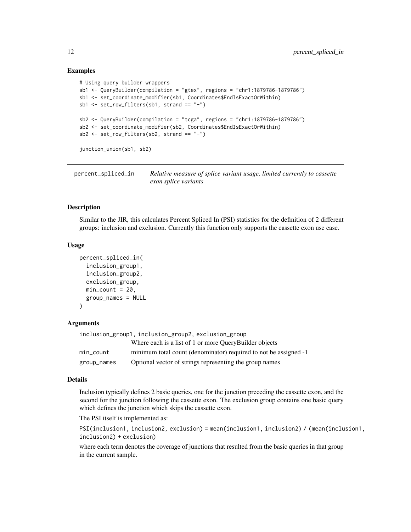```
# Using query builder wrappers
sb1 <- QueryBuilder(compilation = "gtex", regions = "chr1:1879786-1879786")
sb1 <- set_coordinate_modifier(sb1, Coordinates$EndIsExactOrWithin)
sb1 \leftarrow set_{row_{filter}}(sb1, strand == "--")sb2 <- QueryBuilder(compilation = "tcga", regions = "chr1:1879786-1879786")
sb2 <- set_coordinate_modifier(sb2, Coordinates$EndIsExactOrWithin)
sb2 <- set_row_filters(sb2, strand == "-")
junction_union(sb1, sb2)
```
percent\_spliced\_in *Relative measure of splice variant usage, limited currently to cassette exon splice variants*

# Description

Similar to the JIR, this calculates Percent Spliced In (PSI) statistics for the definition of 2 different groups: inclusion and exclusion. Currently this function only supports the cassette exon use case.

#### Usage

```
percent_spliced_in(
  inclusion_group1,
  inclusion_group2,
  exclusion_group,
 min\_count = 20,
  group_names = NULL
)
```
#### Arguments

|             | inclusion_group1,inclusion_group2,exclusion_group                |
|-------------|------------------------------------------------------------------|
|             | Where each is a list of 1 or more OueryBuilder objects           |
| min count   | minimum total count (denominator) required to not be assigned -1 |
| group_names | Optional vector of strings representing the group names          |

#### Details

Inclusion typically defines 2 basic queries, one for the junction preceding the cassette exon, and the second for the junction following the cassette exon. The exclusion group contains one basic query which defines the junction which skips the cassette exon.

The PSI itself is implemented as:

```
PSI(inclusion1, inclusion2, exclusion) = mean(inclusion1, inclusion2) / (mean(inclusion1,
inclusion2) + exclusion)
```
where each term denotes the coverage of junctions that resulted from the basic queries in that group in the current sample.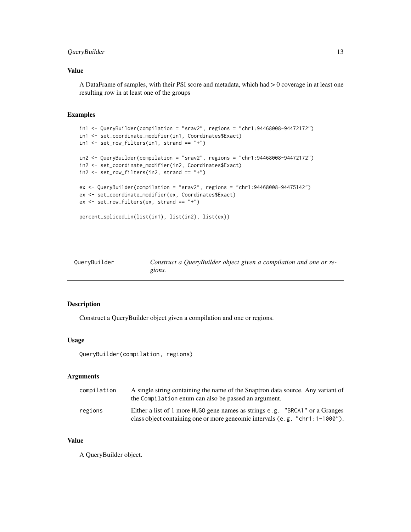# <span id="page-12-0"></span>QueryBuilder 13

# Value

A DataFrame of samples, with their PSI score and metadata, which had > 0 coverage in at least one resulting row in at least one of the groups

### Examples

```
in1 <- QueryBuilder(compilation = "srav2", regions = "chr1:94468008-94472172")
in1 <- set_coordinate_modifier(in1, Coordinates$Exact)
in1 < -set_{row\_filters}(in1, strand == "+")in2 <- QueryBuilder(compilation = "srav2", regions = "chr1:94468008-94472172")
in2 <- set_coordinate_modifier(in2, Coordinates$Exact)
in2 <- set_row_filters(in2, strand == "+")
ex <- QueryBuilder(compilation = "srav2", regions = "chr1:94468008-94475142")
ex <- set_coordinate_modifier(ex, Coordinates$Exact)
ex <- set_row_filters(ex, strand == "+")
percent_spliced_in(list(in1), list(in2), list(ex))
```
<span id="page-12-1"></span>

| QueryBuilder | Construct a QueryBuilder object given a compilation and one or re- |
|--------------|--------------------------------------------------------------------|
|              | gions.                                                             |

# Description

Construct a QueryBuilder object given a compilation and one or regions.

#### Usage

```
QueryBuilder(compilation, regions)
```
# Arguments

| compilation | A single string containing the name of the Snaptron data source. Any variant of<br>the Compilation enum can also be passed an argument.                      |
|-------------|--------------------------------------------------------------------------------------------------------------------------------------------------------------|
| regions     | Either a list of 1 more HUGO gene names as strings e.g. "BRCA1" or a Granges<br>class object containing one or more geneomic intervals (e.g. "chr1:1-1000"). |

# Value

A QueryBuilder object.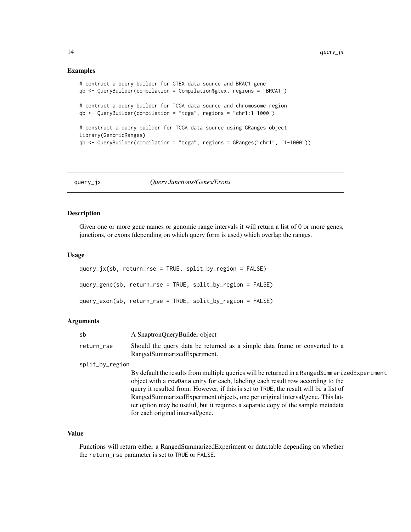```
# contruct a query builder for GTEX data source and BRAC1 gene
qb <- QueryBuilder(compilation = Compilation$gtex, regions = "BRCA1")
# contruct a query builder for TCGA data source and chromosome region
qb <- QueryBuilder(compilation = "tcga", regions = "chr1:1-1000")
# construct a query builder for TCGA data source using GRanges object
library(GenomicRanges)
qb <- QueryBuilder(compilation = "tcga", regions = GRanges("chr1", "1-1000"))
```
#### query\_jx *Query Junctions/Genes/Exons*

#### Description

Given one or more gene names or genomic range intervals it will return a list of 0 or more genes, junctions, or exons (depending on which query form is used) which overlap the ranges.

#### Usage

```
query_jx(sb, return_rse = TRUE, split_by_region = FALSE)
query_gene(sb, return_rse = TRUE, split_by_region = FALSE)
query_exon(sb, return_rse = TRUE, split_by_region = FALSE)
```
# Arguments

| sb              | A SnaptronQueryBuilder object                                                                                                                                                                                                                                                                                                                                                                                                                                                      |  |
|-----------------|------------------------------------------------------------------------------------------------------------------------------------------------------------------------------------------------------------------------------------------------------------------------------------------------------------------------------------------------------------------------------------------------------------------------------------------------------------------------------------|--|
| return_rse      | Should the query data be returned as a simple data frame or converted to a<br>RangedSummarizedExperiment.                                                                                                                                                                                                                                                                                                                                                                          |  |
| split_by_region |                                                                                                                                                                                                                                                                                                                                                                                                                                                                                    |  |
|                 | By default the results from multiple queries will be returned in a RangedSummarizedExperiment<br>object with a rowData entry for each, labeling each result row according to the<br>query it resulted from. However, if this is set to TRUE, the result will be a list of<br>RangedSummarizedExperiment objects, one per original interval/gene. This lat-<br>ter option may be useful, but it requires a separate copy of the sample metadata<br>for each original interval/gene. |  |

# Value

Functions will return either a RangedSummarizedExperiment or data.table depending on whether the return\_rse parameter is set to TRUE or FALSE.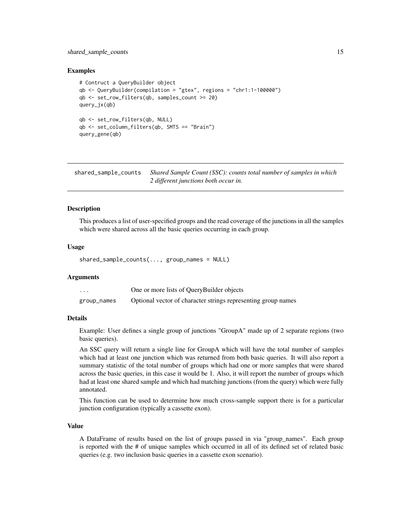#### <span id="page-14-0"></span>shared\_sample\_counts 15

#### Examples

```
# Contruct a QueryBuilder object
qb <- QueryBuilder(compilation = "gtex", regions = "chr1:1-100000")
qb <- set_row_filters(qb, samples_count >= 20)
query_jx(qb)
qb <- set_row_filters(qb, NULL)
qb <- set_column_filters(qb, SMTS == "Brain")
query_gene(qb)
```
shared\_sample\_counts *Shared Sample Count (SSC): counts total number of samples in which 2 different junctions both occur in.*

# Description

This produces a list of user-specified groups and the read coverage of the junctions in all the samples which were shared across all the basic queries occurring in each group.

# Usage

shared\_sample\_counts(..., group\_names = NULL)

#### Arguments

| .           | One or more lists of QueryBuilder objects                     |
|-------------|---------------------------------------------------------------|
| group_names | Optional vector of character strings representing group names |

# Details

Example: User defines a single group of junctions "GroupA" made up of 2 separate regions (two basic queries).

An SSC query will return a single line for GroupA which will have the total number of samples which had at least one junction which was returned from both basic queries. It will also report a summary statistic of the total number of groups which had one or more samples that were shared across the basic queries, in this case it would be 1. Also, it will report the number of groups which had at least one shared sample and which had matching junctions (from the query) which were fully annotated.

This function can be used to determine how much cross-sample support there is for a particular junction configuration (typically a cassette exon).

# Value

A DataFrame of results based on the list of groups passed in via "group\_names". Each group is reported with the # of unique samples which occurred in all of its defined set of related basic queries (e.g. two inclusion basic queries in a cassette exon scenario).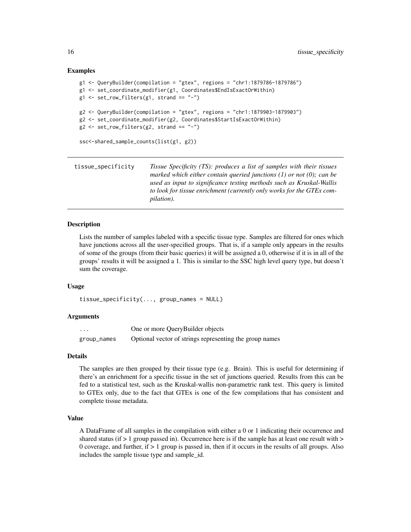```
g1 <- QueryBuilder(compilation = "gtex", regions = "chr1:1879786-1879786")
g1 <- set_coordinate_modifier(g1, Coordinates$EndIsExactOrWithin)
g1 \leftarrow set_{row\_filters(g1, strand == "-")}g2 \leq QueryBuilder(compilation = "gtex", regions = "chr1:1879903-1879903")
g2 <- set_coordinate_modifier(g2, Coordinates$StartIsExactOrWithin)
g2 \leq set_{row\_filters(g2, strand == "-"')ssc<-shared_sample_counts(list(g1, g2))
```
tissue\_specificity *Tissue Specificity (TS): produces a list of samples with their tissues marked which either contain queried junctions (1) or not (0); can be used as input to significance testing methods such as Kruskal-Wallis to look for tissue enrichment (currently only works for the GTEx compilation).*

#### Description

Lists the number of samples labeled with a specific tissue type. Samples are filtered for ones which have junctions across all the user-specified groups. That is, if a sample only appears in the results of some of the groups (from their basic queries) it will be assigned a 0, otherwise if it is in all of the groups' results it will be assigned a 1. This is similar to the SSC high level query type, but doesn't sum the coverage.

#### Usage

tissue\_specificity(..., group\_names = NULL)

# **Arguments**

| .           | One or more QueryBuilder objects                        |
|-------------|---------------------------------------------------------|
| group_names | Optional vector of strings representing the group names |

#### Details

The samples are then grouped by their tissue type (e.g. Brain). This is useful for determining if there's an enrichment for a specific tissue in the set of junctions queried. Results from this can be fed to a statistical test, such as the Kruskal-wallis non-parametric rank test. This query is limited to GTEx only, due to the fact that GTEx is one of the few compilations that has consistent and complete tissue metadata.

#### Value

A DataFrame of all samples in the compilation with either a 0 or 1 indicating their occurrence and shared status (if  $> 1$  group passed in). Occurrence here is if the sample has at least one result with  $>$ 0 coverage, and further, if  $> 1$  group is passed in, then if it occurs in the results of all groups. Also includes the sample tissue type and sample\_id.

<span id="page-15-0"></span>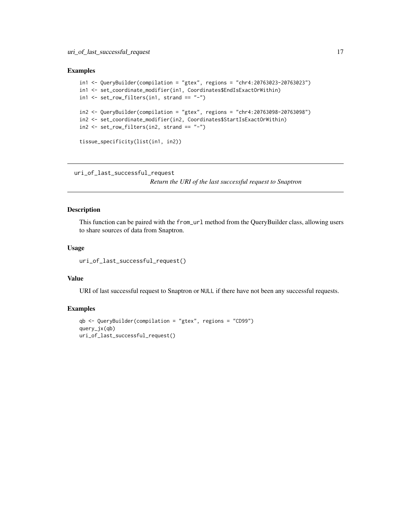```
in1 <- QueryBuilder(compilation = "gtex", regions = "chr4:20763023-20763023")
in1 <- set_coordinate_modifier(in1, Coordinates$EndIsExactOrWithin)
in1 \le set_row_filters(in1, strand == "-")
in2 <- QueryBuilder(compilation = "gtex", regions = "chr4:20763098-20763098")
in2 <- set_coordinate_modifier(in2, Coordinates$StartIsExactOrWithin)
in2 <- set_row_filters(in2, strand == "-")
tissue_specificity(list(in1, in2))
```

```
uri_of_last_successful_request
```
*Return the URI of the last successful request to Snaptron*

# Description

This function can be paired with the from\_url method from the QueryBuilder class, allowing users to share sources of data from Snaptron.

#### Usage

```
uri_of_last_successful_request()
```
#### Value

URI of last successful request to Snaptron or NULL if there have not been any successful requests.

```
qb <- QueryBuilder(compilation = "gtex", regions = "CD99")
query_jx(qb)
uri_of_last_successful_request()
```